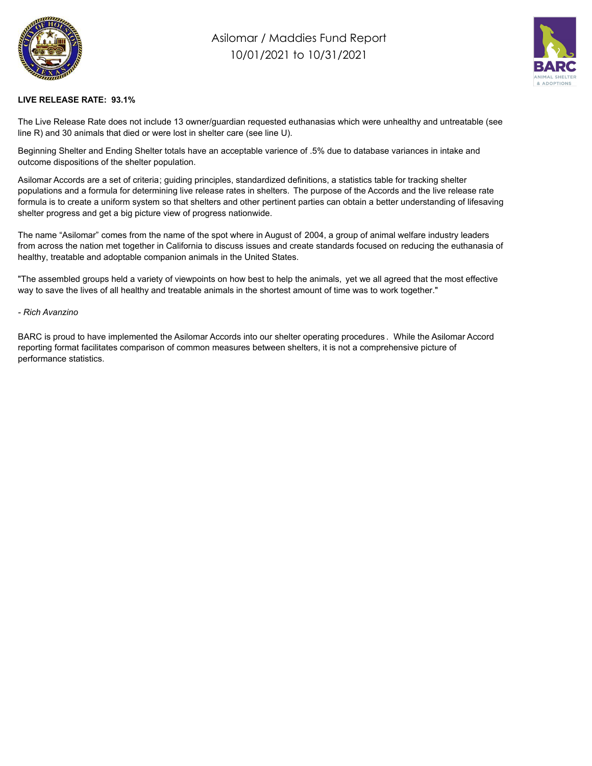

## Asilomar / Maddies Fund Report 10/01/2021 to 10/31/2021



## **LIVE RELEASE RATE: 93.1%**

The Live Release Rate does not include 13 owner/guardian requested euthanasias which were unhealthy and untreatable (see line R) and 30 animals that died or were lost in shelter care (see line U).

Beginning Shelter and Ending Shelter totals have an acceptable varience of .5% due to database variances in intake and outcome dispositions of the shelter population.

Asilomar Accords are a set of criteria; guiding principles, standardized definitions, a statistics table for tracking shelter populations and a formula for determining live release rates in shelters. The purpose of the Accords and the live release rate formula is to create a uniform system so that shelters and other pertinent parties can obtain a better understanding of lifesaving shelter progress and get a big picture view of progress nationwide.

The name "Asilomar" comes from the name of the spot where in August of 2004, a group of animal welfare industry leaders from across the nation met together in California to discuss issues and create standards focused on reducing the euthanasia of healthy, treatable and adoptable companion animals in the United States.

"The assembled groups held a variety of viewpoints on how best to help the animals, yet we all agreed that the most effective way to save the lives of all healthy and treatable animals in the shortest amount of time was to work together."

## *- Rich Avanzino*

BARC is proud to have implemented the Asilomar Accords into our shelter operating procedures . While the Asilomar Accord reporting format facilitates comparison of common measures between shelters, it is not a comprehensive picture of performance statistics.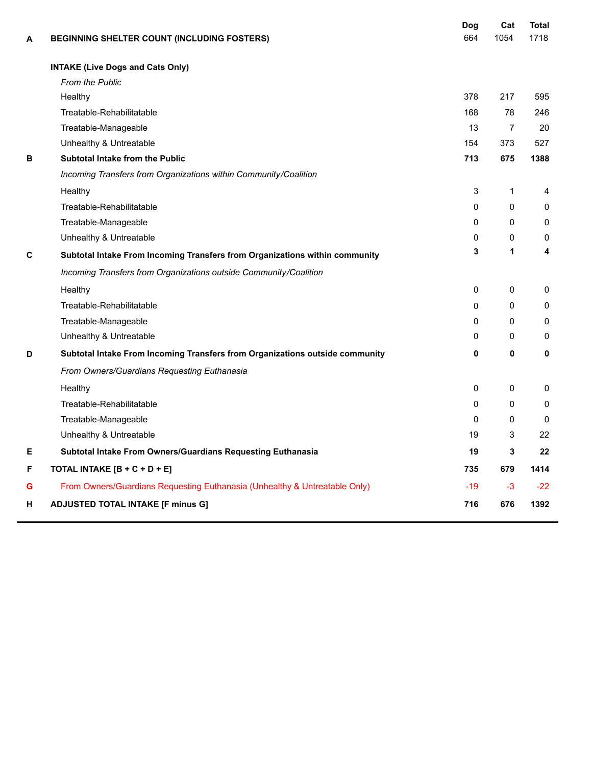| A | <b>BEGINNING SHELTER COUNT (INCLUDING FOSTERS)</b>                           | Dog<br>664   | Cat<br>1054    | <b>Total</b><br>1718 |
|---|------------------------------------------------------------------------------|--------------|----------------|----------------------|
|   | <b>INTAKE (Live Dogs and Cats Only)</b>                                      |              |                |                      |
|   | <b>From the Public</b>                                                       |              |                |                      |
|   | Healthy                                                                      | 378          | 217            | 595                  |
|   | Treatable-Rehabilitatable                                                    | 168          | 78             | 246                  |
|   | Treatable-Manageable                                                         | 13           | $\overline{7}$ | 20                   |
|   | Unhealthy & Untreatable                                                      | 154          | 373            | 527                  |
| В | Subtotal Intake from the Public                                              | 713          | 675            | 1388                 |
|   | Incoming Transfers from Organizations within Community/Coalition             |              |                |                      |
|   | Healthy                                                                      | 3            | 1              | 4                    |
|   | Treatable-Rehabilitatable                                                    | $\Omega$     | $\Omega$       | $\mathbf{0}$         |
|   | Treatable-Manageable                                                         | $\Omega$     | $\Omega$       | $\mathbf{0}$         |
|   | Unhealthy & Untreatable                                                      | 0            | 0              | 0                    |
| C | Subtotal Intake From Incoming Transfers from Organizations within community  | 3            | 1              | 4                    |
|   | Incoming Transfers from Organizations outside Community/Coalition            |              |                |                      |
|   | Healthy                                                                      | $\mathbf 0$  | 0              | 0                    |
|   | Treatable-Rehabilitatable                                                    | $\Omega$     | 0              | 0                    |
|   | Treatable-Manageable                                                         | $\Omega$     | $\Omega$       | 0                    |
|   | Unhealthy & Untreatable                                                      | $\mathbf{0}$ | 0              | $\mathbf{0}$         |
| D | Subtotal Intake From Incoming Transfers from Organizations outside community | 0            | 0              | 0                    |
|   | From Owners/Guardians Requesting Euthanasia                                  |              |                |                      |
|   | Healthy                                                                      | 0            | 0              | 0                    |
|   | Treatable-Rehabilitatable                                                    | $\Omega$     | 0              | 0                    |
|   | Treatable-Manageable                                                         | $\Omega$     | 0              | $\mathbf{0}$         |
|   | Unhealthy & Untreatable                                                      | 19           | 3              | 22                   |
| Е | Subtotal Intake From Owners/Guardians Requesting Euthanasia                  | 19           | 3              | 22                   |
| F | TOTAL INTAKE [B + C + D + E]                                                 | 735          | 679            | 1414                 |
| G | From Owners/Guardians Requesting Euthanasia (Unhealthy & Untreatable Only)   | $-19$        | $-3$           | $-22$                |
| н | <b>ADJUSTED TOTAL INTAKE [F minus G]</b>                                     | 716          | 676            | 1392                 |